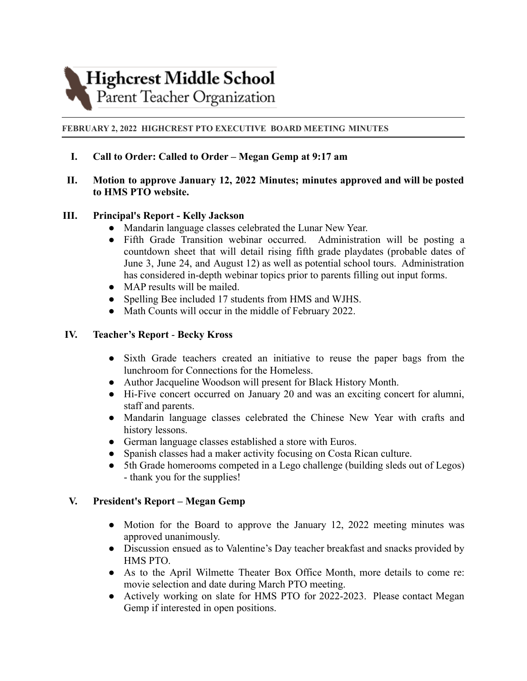# **Highcrest Middle School**

Parent Teacher Organization

### **FEBRUARY 2, 2022 HIGHCREST PTO EXECUTIVE BOARD MEETING MINUTES**

**I. Call to Order: Called to Order – Megan Gemp at 9:17 am**

## **II. Motion to approve January 12, 2022 Minutes; minutes approved and will be posted to HMS PTO website.**

## **III. Principal's Report - Kelly Jackson**

- Mandarin language classes celebrated the Lunar New Year.
- Fifth Grade Transition webinar occurred. Administration will be posting a countdown sheet that will detail rising fifth grade playdates (probable dates of June 3, June 24, and August 12) as well as potential school tours. Administration has considered in-depth webinar topics prior to parents filling out input forms.
- MAP results will be mailed.
- Spelling Bee included 17 students from HMS and WJHS.
- Math Counts will occur in the middle of February 2022.

## **IV. Teacher's Report** - **Becky Kross**

- Sixth Grade teachers created an initiative to reuse the paper bags from the lunchroom for Connections for the Homeless.
- Author Jacqueline Woodson will present for Black History Month.
- Hi-Five concert occurred on January 20 and was an exciting concert for alumni, staff and parents.
- Mandarin language classes celebrated the Chinese New Year with crafts and history lessons.
- German language classes established a store with Euros.
- Spanish classes had a maker activity focusing on Costa Rican culture.
- 5th Grade homerooms competed in a Lego challenge (building sleds out of Legos) - thank you for the supplies!

### **V. President's Report – Megan Gemp**

- Motion for the Board to approve the January 12, 2022 meeting minutes was approved unanimously.
- Discussion ensued as to Valentine's Day teacher breakfast and snacks provided by HMS PTO.
- As to the April Wilmette Theater Box Office Month, more details to come re: movie selection and date during March PTO meeting.
- Actively working on slate for HMS PTO for 2022-2023. Please contact Megan Gemp if interested in open positions.